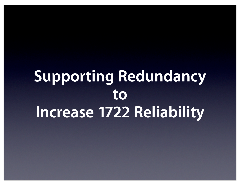### **Supporting Redundancy to Increase 1722 Reliability**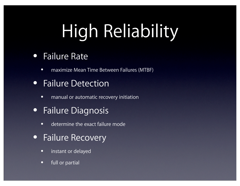# High Reliability

#### • Failure Rate

• maximize Mean Time Between Failures (MTBF)

#### • Failure Detection

- manual or automatic recovery initiation
- Failure Diagnosis
	- determine the exact failure mode
- Failure Recovery
	- instant or delayed
	- full or partial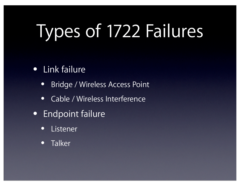# Types of 1722 Failures

#### • Link failure

- Bridge / Wireless Access Point
- Cable / Wireless Interference
- Endpoint failure
	- Listener
	- Talker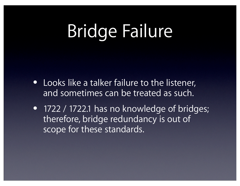# Bridge Failure

- Looks like a talker failure to the listener, and sometimes can be treated as such.
- 1722 / 1722.1 has no knowledge of bridges; therefore, bridge redundancy is out of scope for these standards.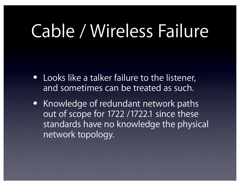## Cable / Wireless Failure

- Looks like a talker failure to the listener, and sometimes can be treated as such.
- Knowledge of redundant network paths out of scope for 1722 /1722.1 since these standards have no knowledge the physical network topology.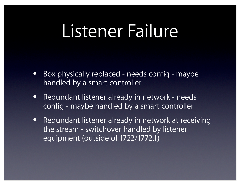### Listener Failure

- Box physically replaced needs config maybe handled by a smart controller
- Redundant listener already in network needs config - maybe handled by a smart controller
- Redundant listener already in network at receiving the stream - switchover handled by listener equipment (outside of 1722/1772.1)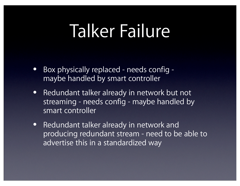### Talker Failure

- Box physically replaced needs config maybe handled by smart controller
- Redundant talker already in network but not streaming - needs config - maybe handled by smart controller
- Redundant talker already in network and producing redundant stream - need to be able to advertise this in a standardized way